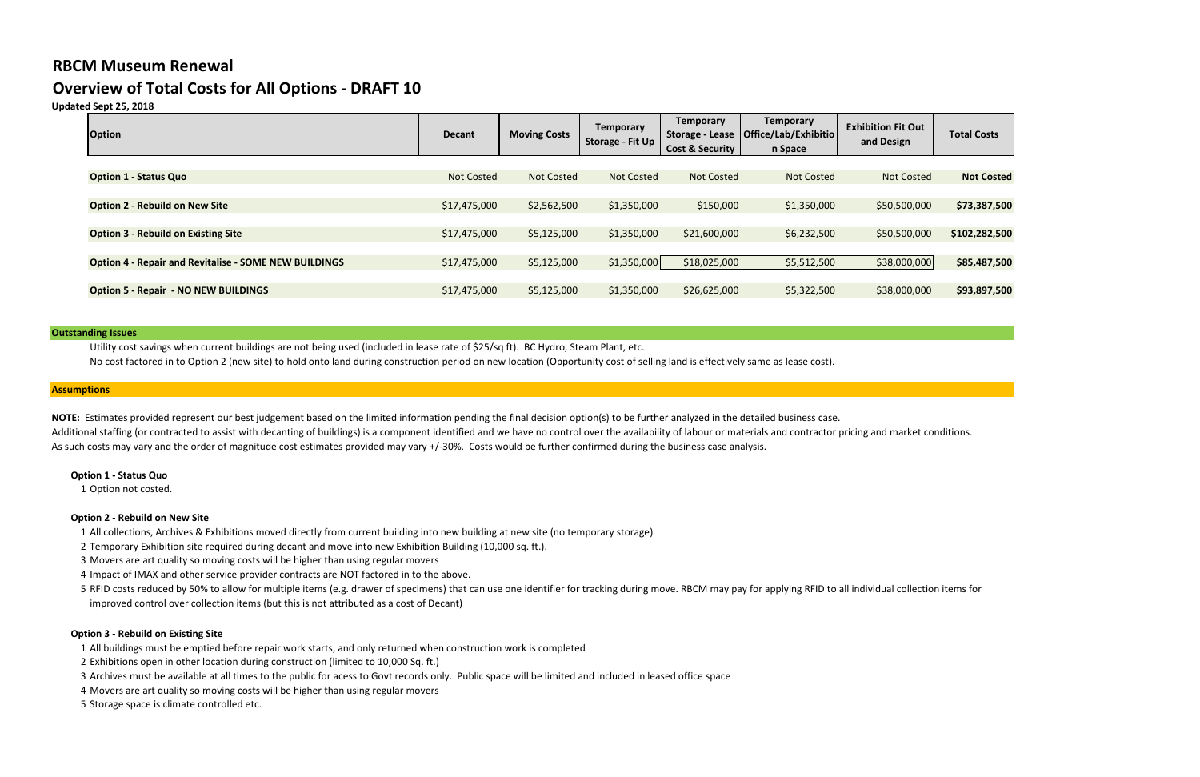# **RBCM Museum Renewal**

# **Overview of Total Costs for All Options - DRAFT 10**

# **Updated Sept 25, 2018**

| <b>Option</b>                                                | <b>Decant</b>     | <b>Moving Costs</b> | <b>Temporary</b><br>Storage - Fit Up | <b>Temporary</b><br><b>Storage - Lease</b><br><b>Cost &amp; Security</b> | <b>Temporary</b><br>Office/Lab/Exhibitio<br>n Space | <b>Exhibition Fit Out</b><br>and Design | <b>Total Costs</b> |
|--------------------------------------------------------------|-------------------|---------------------|--------------------------------------|--------------------------------------------------------------------------|-----------------------------------------------------|-----------------------------------------|--------------------|
|                                                              |                   |                     |                                      |                                                                          |                                                     |                                         |                    |
| <b>Option 1 - Status Quo</b>                                 | <b>Not Costed</b> | <b>Not Costed</b>   | <b>Not Costed</b>                    | <b>Not Costed</b>                                                        | <b>Not Costed</b>                                   | <b>Not Costed</b>                       | <b>Not Costed</b>  |
|                                                              |                   |                     |                                      |                                                                          |                                                     |                                         |                    |
| <b>Option 2 - Rebuild on New Site</b>                        | \$17,475,000      | \$2,562,500         | \$1,350,000                          | \$150,000                                                                | \$1,350,000                                         | \$50,500,000                            | \$73,387,500       |
|                                                              |                   |                     |                                      |                                                                          |                                                     |                                         |                    |
| <b>Option 3 - Rebuild on Existing Site</b>                   | \$17,475,000      | \$5,125,000         | \$1,350,000                          | \$21,600,000                                                             | \$6,232,500                                         | \$50,500,000                            | \$102,282,500      |
|                                                              |                   |                     |                                      |                                                                          |                                                     |                                         |                    |
| <b>Option 4 - Repair and Revitalise - SOME NEW BUILDINGS</b> | \$17,475,000      | \$5,125,000         | \$1,350,000                          | \$18,025,000                                                             | \$5,512,500                                         | \$38,000,000                            | \$85,487,500       |
|                                                              |                   |                     |                                      |                                                                          |                                                     |                                         |                    |
| <b>Option 5 - Repair - NO NEW BUILDINGS</b>                  | \$17,475,000      | \$5,125,000         | \$1,350,000                          | \$26,625,000                                                             | \$5,322,500                                         | \$38,000,000                            | \$93,897,500       |
|                                                              |                   |                     |                                      |                                                                          |                                                     |                                         |                    |

#### **Outstanding Issues**

NOTE: Estimates provided represent our best judgement based on the limited information pending the final decision option(s) to be further analyzed in the detailed business case. Additional staffing (or contracted to assist with decanting of buildings) is a component identified and we have no control over the availability of labour or materials and contractor pricing and market conditions. As such costs may vary and the order of magnitude cost estimates provided may vary +/-30%. Costs would be further confirmed during the business case analysis.

Utility cost savings when current buildings are not being used (included in lease rate of \$25/sq ft). BC Hydro, Steam Plant, etc.

No cost factored in to Option 2 (new site) to hold onto land during construction period on new location (Opportunity cost of selling land is effectively same as lease cost).

#### **Assumptions**

#### **Option 1 - Status Quo**

1 Option not costed.

#### **Option 2 - Rebuild on New Site**

#### **Option 3 - Rebuild on Existing Site**

- 1 All collections, Archives & Exhibitions moved directly from current building into new building at new site (no temporary storage)
- 2 Temporary Exhibition site required during decant and move into new Exhibition Building (10,000 sq. ft.).
- 3 Movers are art quality so moving costs will be higher than using regular movers
- 4 Impact of IMAX and other service provider contracts are NOT factored in to the above.
- 5 RFID costs reduced by 50% to allow for multiple items (e.g. drawer of specimens) that can use one identifier for tracking during move. RBCM may pay for applying RFID to all individual collection items for improved control over collection items (but this is not attributed as a cost of Decant)

- 1 All buildings must be emptied before repair work starts, and only returned when construction work is completed
- 2 Exhibitions open in other location during construction (limited to 10,000 Sq. ft.)
- 3 Archives must be available at all times to the public for acess to Govt records only. Public space will be limited and included in leased office space
- 4 Movers are art quality so moving costs will be higher than using regular movers
- 5 Storage space is climate controlled etc.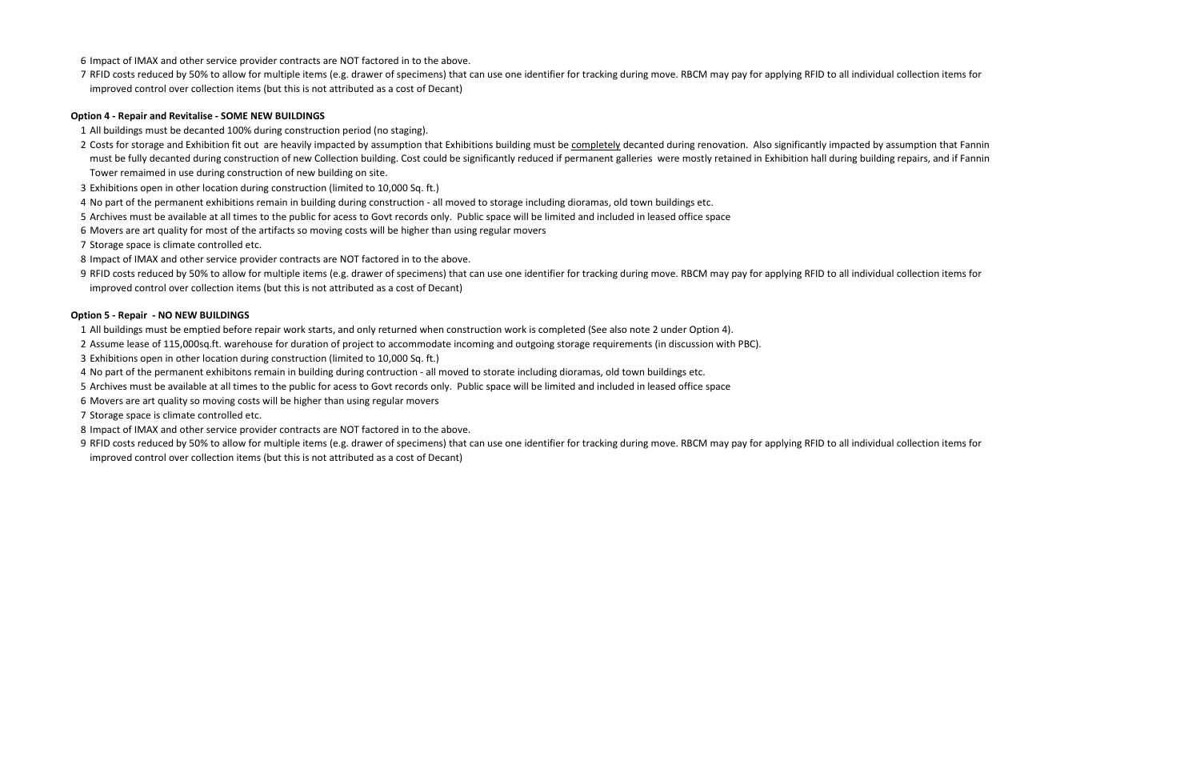#### **Option 4 - Repair and Revitalise - SOME NEW BUILDINGS**

## **Option 5 - Repair - NO NEW BUILDINGS**

- All buildings must be emptied before repair work starts, and only returned when construction work is completed (See also note 2 under Option 4).
- Assume lease of 115,000sq.ft. warehouse for duration of project to accommodate incoming and outgoing storage requirements (in discussion with PBC).
- Exhibitions open in other location during construction (limited to 10,000 Sq. ft.)
- No part of the permanent exhibitons remain in building during contruction all moved to storate including dioramas, old town buildings etc.
- Archives must be available at all times to the public for acess to Govt records only. Public space will be limited and included in leased office space
- Movers are art quality so moving costs will be higher than using regular movers
- Storage space is climate controlled etc.
- Impact of IMAX and other service provider contracts are NOT factored in to the above.
- RFID costs reduced by 50% to allow for multiple items (e.g. drawer of specimens) that can use one identifier for tracking during move. RBCM may pay for applying RFID to all individual collection items for improved control over collection items (but this is not attributed as a cost of Decant)

- All buildings must be decanted 100% during construction period (no staging).
- 2 Costs for storage and Exhibition fit out are heavily impacted by assumption that Exhibitions building must be completely decanted during renovation. Also significantly impacted by assumption that Fannin must be fully decanted during construction of new Collection building. Cost could be significantly reduced if permanent galleries were mostly retained in Exhibition hall during building repairs, and if Fannin Tower remaimed in use during construction of new building on site.
- Exhibitions open in other location during construction (limited to 10,000 Sq. ft.)
- No part of the permanent exhibitions remain in building during construction all moved to storage including dioramas, old town buildings etc.
- Archives must be available at all times to the public for acess to Govt records only. Public space will be limited and included in leased office space
- Movers are art quality for most of the artifacts so moving costs will be higher than using regular movers
- Storage space is climate controlled etc.
- Impact of IMAX and other service provider contracts are NOT factored in to the above.
- RFID costs reduced by 50% to allow for multiple items (e.g. drawer of specimens) that can use one identifier for tracking during move. RBCM may pay for applying RFID to all individual collection items for improved control over collection items (but this is not attributed as a cost of Decant)
- Impact of IMAX and other service provider contracts are NOT factored in to the above.
- RFID costs reduced by 50% to allow for multiple items (e.g. drawer of specimens) that can use one identifier for tracking during move. RBCM may pay for applying RFID to all individual collection items for improved control over collection items (but this is not attributed as a cost of Decant)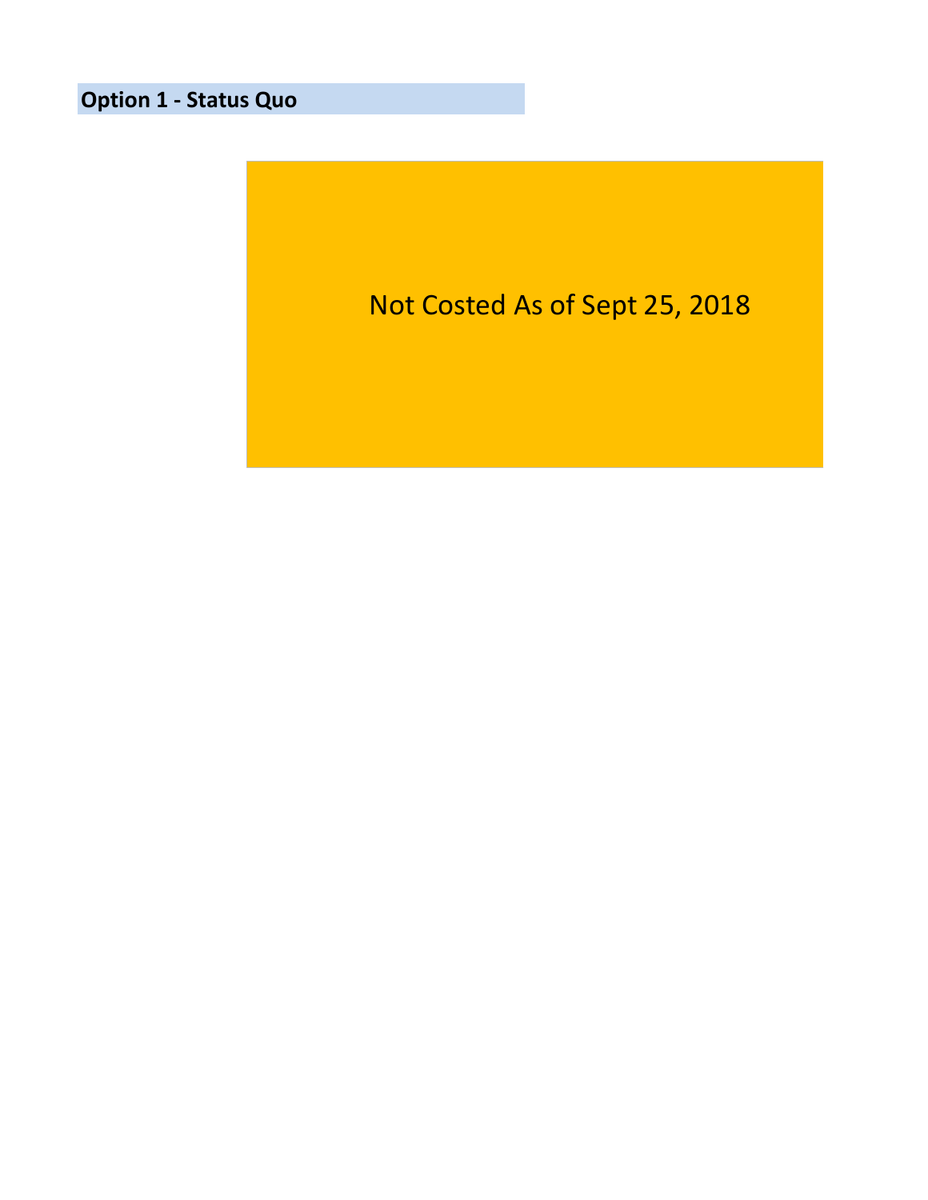**Option 1 - Status Quo**

Not Costed As of Sept 25, 2018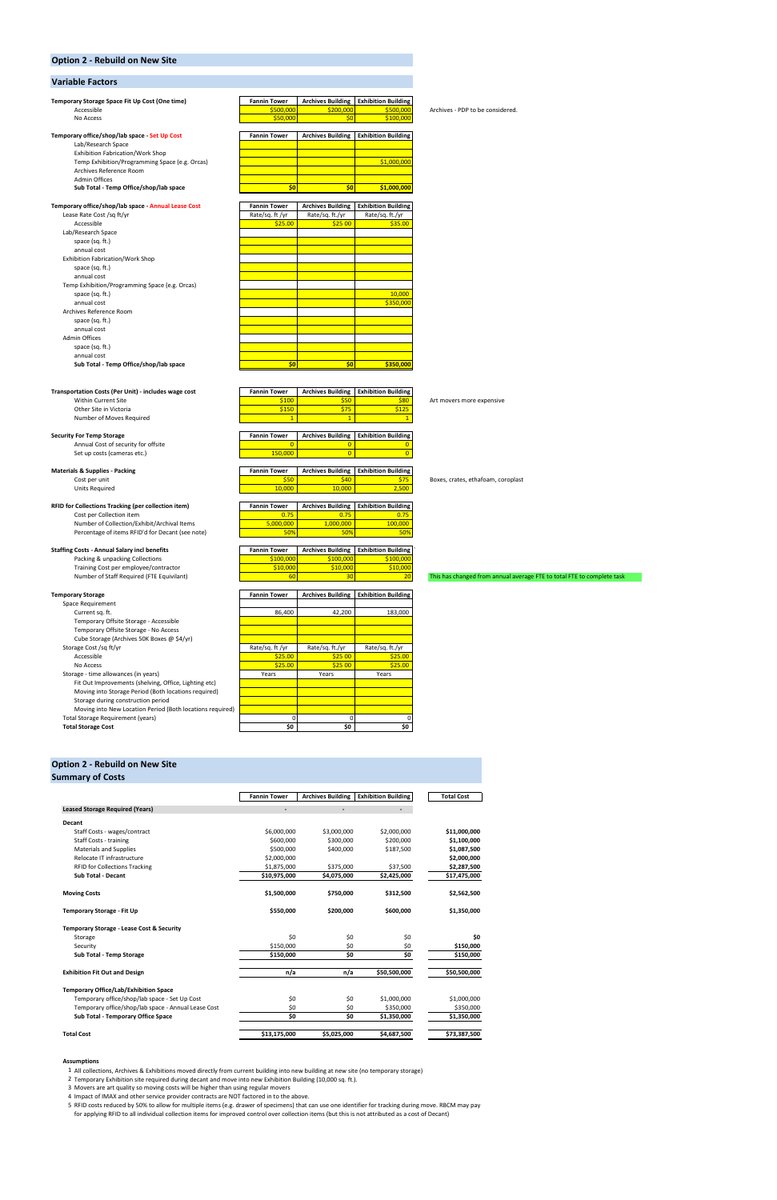#### **Option 2 - Rebuild on New Site**

#### **Variable Factors**

| Temporary Storage Space Fit Up Cost (One time)                                                   | <b>Fannin Tower</b>                    | <b>Archives Building</b>                    | <b>Exhibition Building</b> |                                                                        |
|--------------------------------------------------------------------------------------------------|----------------------------------------|---------------------------------------------|----------------------------|------------------------------------------------------------------------|
| Accessible                                                                                       | \$500,000                              | \$200,000                                   | \$500,000                  | Archives - PDP to be considered.                                       |
| No Access                                                                                        | \$50,000                               | \$0                                         | \$100,000                  |                                                                        |
| Temporary office/shop/lab space - Set Up Cost                                                    | <b>Fannin Tower</b>                    | <b>Archives Building</b>                    | <b>Exhibition Building</b> |                                                                        |
| Lab/Research Space                                                                               |                                        |                                             |                            |                                                                        |
| Exhibition Fabrication/Work Shop                                                                 |                                        |                                             |                            |                                                                        |
| Temp Exhibition/Programming Space (e.g. Orcas)                                                   |                                        |                                             | \$1,000,000                |                                                                        |
| Archives Reference Room                                                                          |                                        |                                             |                            |                                                                        |
| <b>Admin Offices</b>                                                                             |                                        |                                             |                            |                                                                        |
| Sub Total - Temp Office/shop/lab space                                                           | \$0                                    | \$0                                         | \$1,000,000                |                                                                        |
|                                                                                                  |                                        |                                             | <b>Exhibition Building</b> |                                                                        |
| Temporary office/shop/lab space - Annual Lease Cost<br>Lease Rate Cost /sq ft/yr                 | <b>Fannin Tower</b><br>Rate/sq. ft /yr | <b>Archives Building</b><br>Rate/sq. ft./yr | Rate/sq. ft./yr            |                                                                        |
| Accessible                                                                                       | \$25.00                                | \$2500                                      | \$35.00                    |                                                                        |
| Lab/Research Space                                                                               |                                        |                                             |                            |                                                                        |
| space (sq. ft.)                                                                                  |                                        |                                             |                            |                                                                        |
| annual cost                                                                                      |                                        |                                             |                            |                                                                        |
| Exhibition Fabrication/Work Shop                                                                 |                                        |                                             |                            |                                                                        |
| space (sq. ft.)                                                                                  |                                        |                                             |                            |                                                                        |
| annual cost                                                                                      |                                        |                                             |                            |                                                                        |
| Temp Exhibition/Programming Space (e.g. Orcas)                                                   |                                        |                                             |                            |                                                                        |
| space (sq. ft.)                                                                                  |                                        |                                             | 10,000                     |                                                                        |
| annual cost                                                                                      |                                        |                                             | \$350,000                  |                                                                        |
| Archives Reference Room                                                                          |                                        |                                             |                            |                                                                        |
| space (sq. ft.)                                                                                  |                                        |                                             |                            |                                                                        |
| annual cost                                                                                      |                                        |                                             |                            |                                                                        |
| Admin Offices                                                                                    |                                        |                                             |                            |                                                                        |
| space (sq. ft.)                                                                                  |                                        |                                             |                            |                                                                        |
| annual cost                                                                                      |                                        |                                             |                            |                                                                        |
| Sub Total - Temp Office/shop/lab space                                                           | \$0                                    | \$0                                         | \$350,000                  |                                                                        |
|                                                                                                  |                                        |                                             |                            |                                                                        |
| Transportation Costs (Per Unit) - includes wage cost                                             | <b>Fannin Tower</b>                    | <b>Archives Building</b>                    | <b>Exhibition Building</b> |                                                                        |
| Within Current Site                                                                              | \$100                                  | \$50                                        | \$80                       | Art movers more expensive                                              |
| Other Site in Victoria                                                                           | \$150                                  | \$75                                        | \$125                      |                                                                        |
| Number of Moves Required                                                                         | $\mathbf{1}$                           | $\mathbf{1}$                                | $\mathbf{1}$               |                                                                        |
|                                                                                                  |                                        |                                             |                            |                                                                        |
| <b>Security For Temp Storage</b>                                                                 | <b>Fannin Tower</b>                    | <b>Archives Building</b>                    | <b>Exhibition Building</b> |                                                                        |
| Annual Cost of security for offsite                                                              | $\overline{0}$                         | $\overline{0}$                              | $\overline{0}$             |                                                                        |
| Set up costs (cameras etc.)                                                                      | 150,000                                | $\overline{0}$                              | $\overline{0}$             |                                                                        |
|                                                                                                  | <b>Fannin Tower</b>                    |                                             | <b>Exhibition Building</b> |                                                                        |
| <b>Materials &amp; Supplies - Packing</b><br>Cost per unit                                       | \$50                                   | <b>Archives Building</b><br>\$40            | \$75                       | Boxes, crates, ethafoam, coroplast                                     |
| <b>Units Required</b>                                                                            | 10,000                                 | 10,000                                      | 2,500                      |                                                                        |
|                                                                                                  |                                        |                                             |                            |                                                                        |
|                                                                                                  |                                        |                                             |                            |                                                                        |
| RFID for Collections Tracking (per collection item)                                              | <b>Fannin Tower</b>                    | <b>Archives Building</b>                    | <b>Exhibition Building</b> |                                                                        |
| Cost per Collection item                                                                         | 0.75                                   | 0.75                                        | 0.75                       |                                                                        |
| Number of Collection/Exhibit/Archival Items                                                      | 5.000.000                              | 1.000.000                                   | 100.000                    |                                                                        |
| Percentage of items RFID'd for Decant (see note)                                                 | 50%                                    | 50%                                         | 50%                        |                                                                        |
|                                                                                                  |                                        |                                             |                            |                                                                        |
|                                                                                                  | <b>Fannin Tower</b>                    | <b>Archives Building</b>                    | <b>Exhibition Building</b> |                                                                        |
| Packing & unpacking Collections                                                                  | \$100,000                              | \$100,000                                   | \$100,000                  |                                                                        |
| Training Cost per employee/contractor                                                            | \$10,000                               | \$10,000                                    | \$10,000                   |                                                                        |
| <b>Staffing Costs - Annual Salary incl benefits</b><br>Number of Staff Required (FTE Equivilant) | 60                                     | 30                                          | 20                         |                                                                        |
|                                                                                                  |                                        |                                             |                            |                                                                        |
|                                                                                                  | <b>Fannin Tower</b>                    | <b>Archives Building</b>                    | <b>Exhibition Building</b> |                                                                        |
| Space Requirement                                                                                |                                        |                                             |                            |                                                                        |
| Current sq. ft.                                                                                  | 86,400                                 | 42,200                                      | 183,000                    |                                                                        |
| Temporary Offsite Storage - Accessible                                                           |                                        |                                             |                            |                                                                        |
| Temporary Offsite Storage - No Access                                                            |                                        |                                             |                            |                                                                        |
| Cube Storage (Archives 50K Boxes @ \$4/yr)                                                       |                                        |                                             |                            |                                                                        |
| Storage Cost /sq ft/yr                                                                           | Rate/sq. ft /yr                        | Rate/sq. ft./yr                             | Rate/sq. ft./yr            |                                                                        |
| <b>Temporary Storage</b><br>Accessible                                                           | \$25.00                                | \$2500                                      | \$25.00                    |                                                                        |
| No Access                                                                                        | \$25.00                                | \$2500                                      | \$25.00                    |                                                                        |
| Storage - time allowances (in years)                                                             | Years                                  | Years                                       | Years                      |                                                                        |
| Fit Out Improvements (shelving, Office, Lighting etc)                                            |                                        |                                             |                            |                                                                        |
| Moving into Storage Period (Both locations required)                                             |                                        |                                             |                            |                                                                        |
| Storage during construction period                                                               |                                        |                                             |                            |                                                                        |
| Moving into New Location Period (Both locations required)<br>Total Storage Requirement (years)   | 0                                      | $\mathsf 0$                                 | 0                          | This has changed from annual average FTE to total FTE to complete task |

#### **Option 2 - Rebuild on New Site**

## **Summary of Costs**

|                                        | <b>Fannin Tower</b> | <b>Archives Building</b> | <b>Exhibition Building</b> | <b>Total Cost</b> |
|----------------------------------------|---------------------|--------------------------|----------------------------|-------------------|
| <b>Leased Storage Required (Years)</b> |                     |                          | -                          |                   |
| <b>Decant</b>                          |                     |                          |                            |                   |
| Staff Costs - wages/contract           | \$6,000,000         | \$3,000,000              | \$2,000,000                | \$11,000,000      |
| Staff Costs - training                 | \$600,000           | \$300,000                | \$200,000                  | \$1,100,000       |
| <b>Materials and Supplies</b>          | \$500,000           | \$400,000                | \$187,500                  | \$1,087,500       |
| Relocate IT infrastructure             | \$2,000,000         |                          |                            | \$2,000,000       |
| <b>RFID for Collections Tracking</b>   | \$1,875,000         | \$375,000                | \$37,500                   | \$2,287,500       |
| Sub Total - Decant                     | \$10,975,000        | \$4,075,000              | \$2,425,000                | \$17,475,000      |
|                                        |                     |                          |                            |                   |

| <b>Moving Costs</b>                                 | \$1,500,000  | \$750,000   | \$312,500    | \$2,562,500  |
|-----------------------------------------------------|--------------|-------------|--------------|--------------|
| Temporary Storage - Fit Up                          | \$550,000    | \$200,000   | \$600,000    | \$1,350,000  |
| Temporary Storage - Lease Cost & Security           |              |             |              |              |
| Storage                                             | \$0          | \$0         | \$0          | \$0          |
| Security                                            | \$150,000    | \$0         | \$0          | \$150,000    |
| Sub Total - Temp Storage                            | \$150,000    | \$0         | \$0          | \$150,000    |
| <b>Exhibition Fit Out and Design</b>                | n/a          | n/a         | \$50,500,000 | \$50,500,000 |
| <b>Temporary Office/Lab/Exhibition Space</b>        |              |             |              |              |
| Temporary office/shop/lab space - Set Up Cost       | \$0          | \$0         | \$1,000,000  | \$1,000,000  |
| Temporary office/shop/lab space - Annual Lease Cost | \$0          | \$0         | \$350,000    | \$350,000    |
| Sub Total - Temporary Office Space                  | \$0          | \$0         | \$1,350,000  | \$1,350,000  |
| <b>Total Cost</b>                                   | \$13,175,000 | \$5,025,000 | \$4,687,500  | \$73,387,500 |

#### **Assumptions**

5 RFID costs reduced by 50% to allow for multiple items (e.g. drawer of specimens) that can use one identifier for tracking during move. RBCM may pay for applying RFID to all individual collection items for improved control over collection items (but this is not attributed as a cost of Decant)

1 All collections, Archives & Exhibitions moved directly from current building into new building at new site (no temporary storage)

2 Temporary Exhibition site required during decant and move into new Exhibition Building (10,000 sq. ft.).

3 Movers are art quality so moving costs will be higher than using regular movers

4 Impact of IMAX and other service provider contracts are NOT factored in to the above.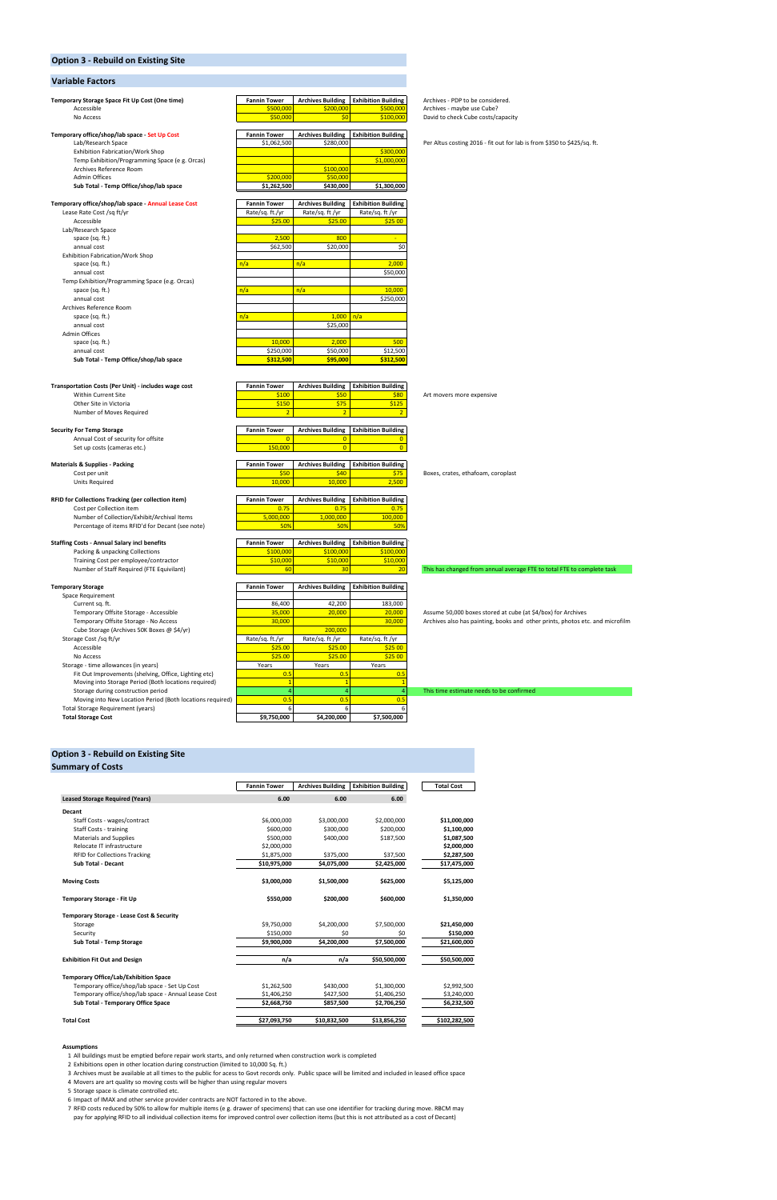## **Option 3 - Rebuild on Existing Site**

#### **Variable Factors**

| Temporary Storage Space Fit Up Cost (One time)<br>Accessible                       | <b>Fannin Tower</b><br>\$500,000 | <b>Archives Building</b><br>\$200,000 | <b>Exhibition Building</b><br>\$500,000 | Archives - PDP to be considered.<br>Archives - maybe use Cube?                |
|------------------------------------------------------------------------------------|----------------------------------|---------------------------------------|-----------------------------------------|-------------------------------------------------------------------------------|
| No Access                                                                          | \$50,000                         | \$0                                   | \$100,000                               | David to check Cube costs/capacity                                            |
| Temporary office/shop/lab space - Set Up Cost                                      | <b>Fannin Tower</b>              | <b>Archives Building</b>              | <b>Exhibition Building</b>              |                                                                               |
| Lab/Research Space                                                                 | \$1,062,500                      | \$280,000                             |                                         | Per Altus costing 2016 - fit out for lab is from \$350 to \$425/sq. ft.       |
| Exhibition Fabrication/Work Shop                                                   |                                  |                                       | \$300,000                               |                                                                               |
| Temp Exhibition/Programming Space (e g. Orcas)                                     |                                  |                                       | \$1,000,000                             |                                                                               |
| Archives Reference Room                                                            |                                  | \$100,000                             |                                         |                                                                               |
| <b>Admin Offices</b>                                                               | \$200,000                        | \$50,000                              |                                         |                                                                               |
| Sub Total - Temp Office/shop/lab space                                             | \$1,262,500                      | \$430,000                             | \$1,300,000                             |                                                                               |
| Temporary office/shop/lab space - Annual Lease Cost                                | <b>Fannin Tower</b>              | <b>Archives Building</b>              | <b>Exhibition Building</b>              |                                                                               |
| Lease Rate Cost /sq ft/yr                                                          | Rate/sq. ft./yr                  | Rate/sq. ft /yr                       | Rate/sq. ft /yr                         |                                                                               |
| Accessible                                                                         | \$25.00                          | \$25.00                               | \$25 00                                 |                                                                               |
| Lab/Research Space                                                                 |                                  |                                       |                                         |                                                                               |
| space (sq. ft.)                                                                    | 2,500                            | 800                                   |                                         |                                                                               |
| annual cost                                                                        | \$62,500                         | \$20,000                              | \$0                                     |                                                                               |
| Exhibition Fabrication/Work Shop                                                   |                                  |                                       |                                         |                                                                               |
| space (sq. ft.)                                                                    | n/a                              | n/a                                   | 2,000                                   |                                                                               |
| annual cost                                                                        |                                  |                                       | \$50,000                                |                                                                               |
| Temp Exhibition/Programming Space (e.g. Orcas)                                     |                                  |                                       |                                         |                                                                               |
| space (sq. ft.)                                                                    | n/a                              | n/a                                   | 10,000                                  |                                                                               |
| annual cost                                                                        |                                  |                                       | \$250,000                               |                                                                               |
| Archives Reference Room                                                            |                                  |                                       |                                         |                                                                               |
| space (sq. ft.)                                                                    | n/a                              | $1,000$ $n/a$                         |                                         |                                                                               |
| annual cost                                                                        |                                  | \$25,000                              |                                         |                                                                               |
| Admin Offices                                                                      | 10,000                           | 2,000                                 | 500                                     |                                                                               |
| space (sq. ft.)<br>annual cost                                                     | \$250,000                        | \$50,000                              | \$12,500                                |                                                                               |
| Sub Total - Temp Office/shop/lab space                                             | \$312,500                        | \$95,000                              | \$312,500                               |                                                                               |
|                                                                                    |                                  |                                       |                                         |                                                                               |
|                                                                                    |                                  |                                       |                                         |                                                                               |
| Transportation Costs (Per Unit) - includes wage cost                               | <b>Fannin Tower</b>              | <b>Archives Building</b>              | <b>Exhibition Building</b>              |                                                                               |
| Within Current Site                                                                | \$100                            | \$50                                  | \$80                                    | Art movers more expensive                                                     |
| Other Site in Victoria                                                             | \$150                            | \$75                                  | \$125                                   |                                                                               |
| Number of Moves Required                                                           | $\overline{2}$                   | $\overline{2}$                        | $\overline{2}$                          |                                                                               |
| <b>Security For Temp Storage</b>                                                   | <b>Fannin Tower</b>              | <b>Archives Building</b>              | <b>Exhibition Building</b>              |                                                                               |
| Annual Cost of security for offsite                                                | $\overline{0}$                   | $\overline{0}$                        | $\mathbf 0$                             |                                                                               |
| Set up costs (cameras etc.)                                                        | 150,000                          | $\overline{0}$                        | $\overline{0}$                          |                                                                               |
|                                                                                    |                                  |                                       |                                         |                                                                               |
| <b>Materials &amp; Supplies - Packing</b>                                          | <b>Fannin Tower</b>              | <b>Archives Building</b>              | <b>Exhibition Building</b>              |                                                                               |
| Cost per unit                                                                      | \$50                             | \$40                                  | \$75                                    | Boxes, crates, ethafoam, coroplast                                            |
| <b>Units Required</b>                                                              | 10,000                           | 10,000                                | 2,500                                   |                                                                               |
| RFID for Collections Tracking (per collection item)                                | <b>Fannin Tower</b>              | <b>Archives Building</b>              | <b>Exhibition Building</b>              |                                                                               |
| Cost per Collection item                                                           | 0.75                             | 0.75                                  | 0.75                                    |                                                                               |
| Number of Collection/Exhibit/Archival Items                                        | 5,000,000                        | 1,000,000                             | 100,000                                 |                                                                               |
| Percentage of items RFID'd for Decant (see note)                                   | 50%                              | 50%                                   | 50%                                     |                                                                               |
|                                                                                    |                                  |                                       |                                         |                                                                               |
| <b>Staffing Costs - Annual Salary incl benefits</b>                                | <b>Fannin Tower</b>              | <b>Archives Building</b>              | <b>Exhibition Building</b>              |                                                                               |
| Packing & unpacking Collections                                                    | \$100,000                        | \$100,000                             | \$100,000                               |                                                                               |
| Training Cost per employee/contractor<br>Number of Staff Required (FTE Equivilant) | \$10,000<br>60                   | \$10,000<br>30                        | \$10,000                                |                                                                               |
|                                                                                    |                                  |                                       | $\overline{20}$                         | This has changed from annual average FTE to total FTE to complete task        |
| <b>Temporary Storage</b>                                                           | <b>Fannin Tower</b>              | <b>Archives Building</b>              | <b>Exhibition Building</b>              |                                                                               |
| <b>Space Requirement</b>                                                           |                                  |                                       |                                         |                                                                               |
| Current sq. ft.                                                                    | 86,400                           | 42,200                                | 183,000                                 |                                                                               |
| Temporary Offsite Storage - Accessible                                             | 35,000                           | 20,000                                | 20,000                                  | Assume 50,000 boxes stored at cube (at \$4/box) for Archives                  |
| Temporary Offsite Storage - No Access                                              | 30,000                           |                                       | 30,000                                  | Archives also has painting, books and other prints, photos etc. and microfilm |
| Cube Storage (Archives 50K Boxes @ \$4/yr)                                         |                                  | 200,000                               |                                         |                                                                               |
| Storage Cost /sq ft/yr                                                             | Rate/sq. ft./yr                  | Rate/sq. ft /yr                       | Rate/sq. ft /yr                         |                                                                               |
| Accessible                                                                         | \$25.00                          | \$25.00                               | \$25 00                                 |                                                                               |
| No Access                                                                          | \$25.00                          | \$25.00                               | \$25 00                                 |                                                                               |
| Storage - time allowances (in years)                                               | Years                            | Years                                 | Years                                   |                                                                               |
| Fit Out Improvements (shelving, Office, Lighting etc)                              | 0.5                              | 0.5                                   | 0.5                                     |                                                                               |
| Moving into Storage Period (Both locations required)                               | $\mathbf{1}$                     | $\mathbf{1}$                          |                                         |                                                                               |
| Storage during construction period                                                 | $\overline{4}$                   | $\overline{4}$                        |                                         | This time estimate needs to be confirmed                                      |

Moving into New Location Period (Both locations required) 0.5 0.5 0.5 Total Storage Requirement (years) 6 6 6

#### **Option 3 - Rebuild on Existing Site**

 $350,300$  **Total Storage Cost** 

| <b>Summary of Costs</b>                              |                          |                          |                            |                   |
|------------------------------------------------------|--------------------------|--------------------------|----------------------------|-------------------|
|                                                      | <b>Fannin Tower</b>      | <b>Archives Building</b> | <b>Exhibition Building</b> | <b>Total Cost</b> |
| <b>Leased Storage Required (Years)</b>               | 6.00                     | 6.00                     | 6.00                       |                   |
| <b>Decant</b>                                        |                          |                          |                            |                   |
| Staff Costs - wages/contract                         | \$6,000,000              | \$3,000,000              | \$2,000,000                | \$11,000,000      |
| <b>Staff Costs - training</b>                        | \$600,000                | \$300,000                | \$200,000                  | \$1,100,000       |
|                                                      |                          |                          |                            |                   |
| Materials and Supplies<br>Relocate IT infrastructure | \$500,000<br>\$2,000,000 | \$400,000                | \$187,500                  | \$1,087,500       |
|                                                      |                          |                          |                            | \$2,000,000       |
| <b>RFID for Collections Tracking</b>                 | \$1,875,000              | \$375,000                | \$37,500                   | \$2,287,500       |
| <b>Sub Total - Decant</b>                            | \$10,975,000             | \$4,075,000              | \$2,425,000                | \$17,475,000      |
| <b>Moving Costs</b>                                  | \$3,000,000              | \$1,500,000              | \$625,000                  | \$5,125,000       |
| <b>Temporary Storage - Fit Up</b>                    | \$550,000                | \$200,000                | \$600,000                  | \$1,350,000       |
| Temporary Storage - Lease Cost & Security            |                          |                          |                            |                   |
| Storage                                              | \$9,750,000              | \$4,200,000              | \$7,500,000                | \$21,450,000      |
| Security                                             | \$150,000                | \$0                      | \$0                        | \$150,000         |
| Sub Total - Temp Storage                             | \$9,900,000              | \$4,200,000              | \$7,500,000                | \$21,600,000      |
| <b>Exhibition Fit Out and Design</b>                 | n/a                      | n/a                      | \$50,500,000               | \$50,500,000      |
| <b>Temporary Office/Lab/Exhibition Space</b>         |                          |                          |                            |                   |
| Temporary office/shop/lab space - Set Up Cost        | \$1,262,500              | \$430,000                | \$1,300,000                | \$2,992,500       |
| Temporary office/shop/lab space - Annual Lease Cost  | \$1,406,250              | \$427,500                | \$1,406,250                | \$3,240,000       |
| Sub Total - Temporary Office Space                   | \$2,668,750              | \$857,500                | \$2,706,250                | \$6,232,500       |
| <b>Total Cost</b>                                    | \$27,093,750             | \$10,832,500             | \$13,856,250               | \$102,282,500     |

#### **Assumptions**

7 RFID costs reduced by 50% to allow for multiple items (e g. drawer of specimens) that can use one identifier for tracking during move. RBCM may pay for applying RFID to all individual collection items for improved control over collection items (but this is not attributed as a cost of Decant)

1 All buildings must be emptied before repair work starts, and only returned when construction work is completed

2 Exhibitions open in other location during construction (limited to 10,000 Sq. ft.)

3 Archives must be available at all times to the public for acess to Govt records only. Public space will be limited and included in leased office space

4 Movers are art quality so moving costs will be higher than using regular movers

5 Storage space is climate controlled etc.

6 Impact of IMAX and other service provider contracts are NOT factored in to the above.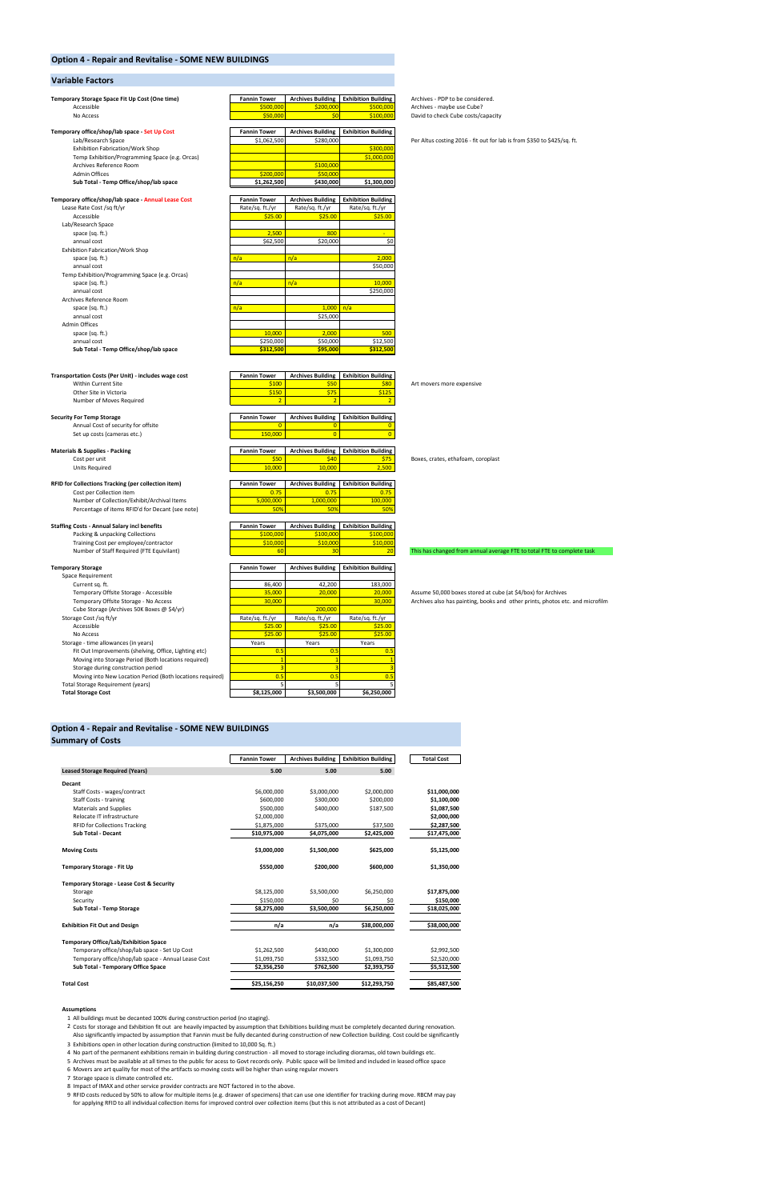#### **Option 4 - Repair and Revitalise - SOME NEW BUILDINGS**

#### **Variable Factors**

| Temporary Storage Space Fit Up Cost (One time)                                     | <b>Fannin Tower</b>     | <b>Archives Building</b>   | <b>Exhibition Building</b> | Archives - PDP to be considered.        |
|------------------------------------------------------------------------------------|-------------------------|----------------------------|----------------------------|-----------------------------------------|
| Accessible                                                                         | \$500,000               | \$200,000                  | \$500,000                  | Archives - maybe use Cube?              |
| No Access                                                                          | \$50,000                | \$0                        | \$100,000                  | David to check Cube costs/capacity      |
| Temporary office/shop/lab space - Set Up Cost                                      | <b>Fannin Tower</b>     | <b>Archives Building</b>   | <b>Exhibition Building</b> |                                         |
| Lab/Research Space                                                                 | \$1,062,500             | \$280,000                  |                            | Per Altus costing 2016 - fit out for la |
| <b>Exhibition Fabrication/Work Shop</b>                                            |                         |                            | \$300,000                  |                                         |
| Temp Exhibition/Programming Space (e.g. Orcas)                                     |                         |                            | \$1,000,000                |                                         |
| Archives Reference Room                                                            |                         | \$100,000                  |                            |                                         |
| <b>Admin Offices</b>                                                               | \$200,000               | \$50,000                   |                            |                                         |
| Sub Total - Temp Office/shop/lab space                                             | \$1,262,500             | \$430,000                  | \$1,300,000                |                                         |
| Temporary office/shop/lab space - Annual Lease Cost                                | <b>Fannin Tower</b>     | <b>Archives Building</b>   | <b>Exhibition Building</b> |                                         |
| Lease Rate Cost /sq ft/yr                                                          | Rate/sq. ft./yr         | Rate/sq. ft./yr            | Rate/sq. ft./yr            |                                         |
| Accessible                                                                         | \$25.00                 | \$25.00                    | \$25.00                    |                                         |
| Lab/Research Space<br>space (sq. ft.)                                              | 2,500                   | 800                        | ٠                          |                                         |
| annual cost                                                                        | \$62,500                | \$20,000                   | \$0                        |                                         |
| Exhibition Fabrication/Work Shop                                                   |                         |                            |                            |                                         |
| space (sq. ft.)                                                                    | n/a                     | n/a                        | 2,000                      |                                         |
| annual cost                                                                        |                         |                            | \$50,000                   |                                         |
| Temp Exhibition/Programming Space (e.g. Orcas)                                     |                         |                            |                            |                                         |
| space (sq. ft.)                                                                    | n/a                     | n/a                        | 10,000                     |                                         |
| annual cost                                                                        |                         |                            | \$250,000                  |                                         |
| Archives Reference Room                                                            |                         |                            |                            |                                         |
| space (sq. ft.)<br>annual cost                                                     | n/a                     | 1,000<br>\$25,000          | n/a                        |                                         |
| <b>Admin Offices</b>                                                               |                         |                            |                            |                                         |
| space (sq. ft.)                                                                    | 10,000                  | 2,000                      | 500                        |                                         |
| annual cost                                                                        | \$250,000               | \$50,000                   | \$12,500                   |                                         |
| Sub Total - Temp Office/shop/lab space                                             | \$312,500               | \$95,000                   | \$312,500                  |                                         |
|                                                                                    |                         |                            |                            |                                         |
|                                                                                    |                         |                            |                            |                                         |
| Transportation Costs (Per Unit) - includes wage cost                               | <b>Fannin Tower</b>     | <b>Archives Building</b>   | <b>Exhibition Building</b> |                                         |
| Within Current Site<br>Other Site in Victoria                                      | \$100<br>\$150          | \$50<br>\$75               | \$80<br>\$125              | Art movers more expensive               |
| Number of Moves Required                                                           | $\overline{2}$          | $\overline{2}$             | $\overline{2}$             |                                         |
|                                                                                    |                         |                            |                            |                                         |
| <b>Security For Temp Storage</b>                                                   | <b>Fannin Tower</b>     | <b>Archives Building</b>   | <b>Exhibition Building</b> |                                         |
| Annual Cost of security for offsite                                                | $\overline{0}$          | $\mathbf{0}$               | $\mathbf{0}$               |                                         |
| Set up costs (cameras etc.)                                                        | 150,000                 | $\overline{0}$             | $\overline{0}$             |                                         |
| <b>Materials &amp; Supplies - Packing</b>                                          | <b>Fannin Tower</b>     | <b>Archives Building</b>   | <b>Exhibition Building</b> |                                         |
| Cost per unit                                                                      | \$50                    | \$40                       | \$75                       | Boxes, crates, ethafoam, coroplast      |
| <b>Units Required</b>                                                              | 10,000                  | 10,000                     | 2,500                      |                                         |
| RFID for Collections Tracking (per collection item)                                | <b>Fannin Tower</b>     | <b>Archives Building</b>   | <b>Exhibition Building</b> |                                         |
| Cost per Collection item                                                           | 0.75                    | 0.75                       | 0.75                       |                                         |
| Number of Collection/Exhibit/Archival Items                                        | 5,000,000               | 1,000,000                  | 100,000                    |                                         |
| Percentage of items RFID'd for Decant (see note)                                   | 50%                     | 50%                        | 50%                        |                                         |
|                                                                                    |                         |                            |                            |                                         |
|                                                                                    |                         |                            |                            |                                         |
| <b>Staffing Costs - Annual Salary incl benefits</b>                                | <b>Fannin Tower</b>     | <b>Archives Building</b>   | <b>Exhibition Building</b> |                                         |
| Packing & unpacking Collections                                                    | \$100,000               | \$100,000                  | \$100,000                  |                                         |
| Training Cost per employee/contractor<br>Number of Staff Required (FTE Equivilant) | \$10,000<br>60          | \$10,000<br>30             | \$10,000<br>20             | This has changed from annual avera      |
|                                                                                    |                         |                            |                            |                                         |
| <b>Temporary Storage</b>                                                           | <b>Fannin Tower</b>     | <b>Archives Building</b>   | <b>Exhibition Building</b> |                                         |
| Space Requirement                                                                  |                         |                            |                            |                                         |
| Current sq. ft.                                                                    | 86,400                  | 42,200                     | 183,000                    |                                         |
| Temporary Offsite Storage - Accessible                                             | 35,000                  | 20,000                     | 20,000                     | Assume 50,000 boxes stored at cub       |
| Temporary Offsite Storage - No Access                                              | 30,000                  |                            | 30,000                     | Archives also has painting, books ar    |
| Cube Storage (Archives 50K Boxes @ \$4/yr)<br>Storage Cost /sq ft/yr               | Rate/sq. ft./yr         | 200,000<br>Rate/sq. ft./yr | Rate/sq. ft./yr            |                                         |
| Accessible                                                                         | \$25.00                 | \$25.00                    | \$25.00                    |                                         |
| No Access                                                                          | \$25.00                 | \$25.00                    | \$25.00                    |                                         |
| Storage - time allowances (in years)                                               | Years                   | Years                      | Years                      |                                         |
| Fit Out Improvements (shelving, Office, Lighting etc)                              | 0.5                     | 0.5                        | 0.5                        |                                         |
| Moving into Storage Period (Both locations required)                               | $\overline{1}$          | $\mathbf{1}$               | $\overline{1}$             |                                         |
| Storage during construction period                                                 | $\overline{\mathbf{3}}$ | 3                          | 3                          |                                         |
| Moving into New Location Period (Both locations required)                          | 0.5                     | 0.5                        | 0.5                        |                                         |
| Total Storage Requirement (years)<br><b>Total Storage Cost</b>                     | 5<br>\$8,125,000        | 5<br>\$3,500,000           | 5<br>\$6,250,000           |                                         |

#### **Option 4 - Repair and Revitalise - SOME NEW BUILDINGS**

| <b>Summary of Costs</b>                |                     |                          |                            |                   |
|----------------------------------------|---------------------|--------------------------|----------------------------|-------------------|
|                                        | <b>Fannin Tower</b> | <b>Archives Building</b> | <b>Exhibition Building</b> | <b>Total Cost</b> |
| <b>Leased Storage Required (Years)</b> | 5.00                | 5.00                     | 5.00                       |                   |
| Decant                                 |                     |                          |                            |                   |
| Staff Costs - wages/contract           | \$6,000,000         | \$3.000.000              | \$2,000,000                | \$11,000,000      |
| Staff Costs - training                 | \$600,000           | \$300,000                | \$200,000                  | \$1,100,000       |
| <b>Materials and Supplies</b>          | \$500,000           | \$400,000                | \$187.500                  | \$1,087,500       |
| Relocate IT infrastructure             | \$2,000,000         |                          |                            | \$2,000,000       |
| <b>RFID for Collections Tracking</b>   | \$1,875,000         | \$375,000                | \$37,500                   | \$2,287,500       |
| Sub Total - Decant                     | \$10.975.000        | \$4,075,000              | \$2,425,000                | \$17,475,000      |
| <b>Moving Costs</b>                    | \$3,000,000         | \$1,500,000              | \$625,000                  | \$5,125,000       |
| Temporary Storage - Fit Up             | \$550.000           | \$200.000                | \$600,000                  | \$1,350,000       |

Per Altus costing 2016 - fit out for lab is from \$350 to \$425/sq. ft.<br> $\frac{00,000}{00,000}$ 

# vilding<br>
575 Boxes, crates, ethafoam, coroplast<br>
2,500

#### $\frac{1}{\sqrt{10}}$  This has changed from annual average FTE to total FTE to complete task

Temporal - Assume 50,000 boxes stored at cube (at \$4/box) for Archives<br><mark>10,000 -</mark> Archives also has painting, books and other prints, photos et Archives also has painting, books and other prints, photos etc. and microfilm

#### **Temporary Storage - Lease Cost & Security**

| Storage                                             | \$8,125,000  | \$3,500,000  | \$6,250,000  | \$17,875,000 |
|-----------------------------------------------------|--------------|--------------|--------------|--------------|
| Security                                            | \$150,000    | \$0          | \$0          | \$150,000    |
| Sub Total - Temp Storage                            | \$8,275,000  | \$3,500,000  | \$6,250,000  | \$18,025,000 |
| <b>Exhibition Fit Out and Design</b>                | n/a          | n/a          | \$38,000,000 | \$38,000,000 |
| <b>Temporary Office/Lab/Exhibition Space</b>        |              |              |              |              |
| Temporary office/shop/lab space - Set Up Cost       | \$1,262,500  | \$430,000    | \$1,300,000  | \$2,992,500  |
| Temporary office/shop/lab space - Annual Lease Cost | \$1,093,750  | \$332.500    | \$1,093,750  | \$2,520,000  |
| Sub Total - Temporary Office Space                  | \$2,356,250  | \$762.500    | \$2,393,750  | \$5,512,500  |
| <b>Total Cost</b>                                   | \$25,156,250 | \$10,037,500 | \$12,293,750 | \$85,487,500 |

#### **Assumptions**

8 Impact of IMAX and other service provider contracts are NOT factored in to the above.

9 RFID costs reduced by 50% to allow for multiple items (e.g. drawer of specimens) that can use one identifier for tracking during move. RBCM may pay for applying RFID to all individual collection items for improved control over collection items (but this is not attributed as a cost of Decant)

1 All buildings must be decanted 100% during construction period (no staging).

4 No part of the permanent exhibitions remain in building during construction - all moved to storage including dioramas, old town buildings etc.

5 Archives must be available at all times to the public for acess to Govt records only. Public space will be limited and included in leased office space

6 Movers are art quality for most of the artifacts so moving costs will be higher than using regular movers

7 Storage space is climate controlled etc.

2 Costs for storage and Exhibition fit out are heavily impacted by assumption that Exhibitions building must be completely decanted during renovation. Also significantly impacted by assumption that Fannin must be fully decanted during construction of new Collection building. Cost could be significantly

3 Exhibitions open in other location during construction (limited to 10,000 Sq. ft.)